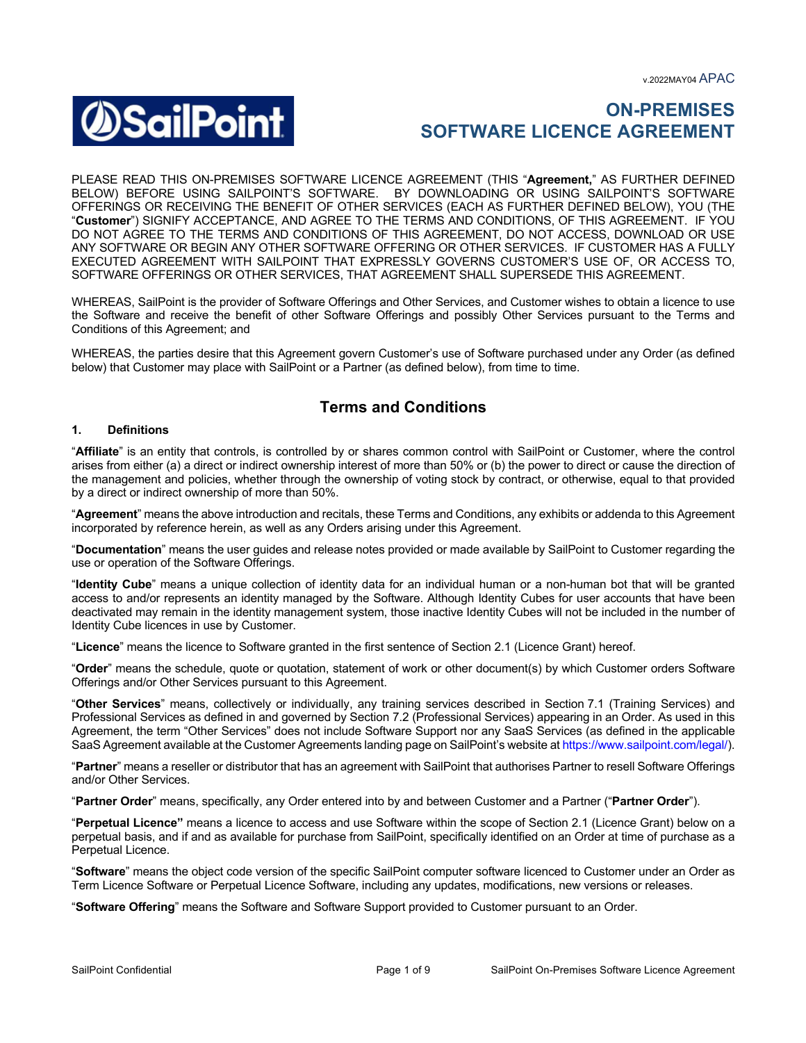v.2022MAY04 APAC



# **ON-PREMISES SOFTWARE LICENCE AGREEMENT**

PLEASE READ THIS ON-PREMISES SOFTWARE LICENCE AGREEMENT (THIS "**Agreement,**" AS FURTHER DEFINED BELOW) BEFORE USING SAILPOINT'S SOFTWARE. BY DOWNLOADING OR USING SAILPOINT'S SOFTWARE OFFERINGS OR RECEIVING THE BENEFIT OF OTHER SERVICES (EACH AS FURTHER DEFINED BELOW), YOU (THE "**Customer**") SIGNIFY ACCEPTANCE, AND AGREE TO THE TERMS AND CONDITIONS, OF THIS AGREEMENT. IF YOU DO NOT AGREE TO THE TERMS AND CONDITIONS OF THIS AGREEMENT, DO NOT ACCESS, DOWNLOAD OR USE ANY SOFTWARE OR BEGIN ANY OTHER SOFTWARE OFFERING OR OTHER SERVICES. IF CUSTOMER HAS A FULLY EXECUTED AGREEMENT WITH SAILPOINT THAT EXPRESSLY GOVERNS CUSTOMER'S USE OF, OR ACCESS TO, SOFTWARE OFFERINGS OR OTHER SERVICES, THAT AGREEMENT SHALL SUPERSEDE THIS AGREEMENT.

WHEREAS, SailPoint is the provider of Software Offerings and Other Services, and Customer wishes to obtain a licence to use the Software and receive the benefit of other Software Offerings and possibly Other Services pursuant to the Terms and Conditions of this Agreement; and

WHEREAS, the parties desire that this Agreement govern Customer's use of Software purchased under any Order (as defined below) that Customer may place with SailPoint or a Partner (as defined below), from time to time.

# **Terms and Conditions**

# **1. Definitions**

"**Affiliate**" is an entity that controls, is controlled by or shares common control with SailPoint or Customer, where the control arises from either (a) a direct or indirect ownership interest of more than 50% or (b) the power to direct or cause the direction of the management and policies, whether through the ownership of voting stock by contract, or otherwise, equal to that provided by a direct or indirect ownership of more than 50%.

"**Agreement**" means the above introduction and recitals, these Terms and Conditions, any exhibits or addenda to this Agreement incorporated by reference herein, as well as any Orders arising under this Agreement.

"**Documentation**" means the user guides and release notes provided or made available by SailPoint to Customer regarding the use or operation of the Software Offerings.

"**Identity Cube**" means a unique collection of identity data for an individual human or a non-human bot that will be granted access to and/or represents an identity managed by the Software. Although Identity Cubes for user accounts that have been deactivated may remain in the identity management system, those inactive Identity Cubes will not be included in the number of Identity Cube licences in use by Customer.

"**Licence**" means the licence to Software granted in the first sentence of Section 2.1 (Licence Grant) hereof.

"**Order**" means the schedule, quote or quotation, statement of work or other document(s) by which Customer orders Software Offerings and/or Other Services pursuant to this Agreement.

"**Other Services**" means, collectively or individually, any training services described in Section 7.1 (Training Services) and Professional Services as defined in and governed by Section 7.2 (Professional Services) appearing in an Order. As used in this Agreement, the term "Other Services" does not include Software Support nor any SaaS Services (as defined in the applicable SaaS Agreement available at the Customer Agreements landing page on SailPoint's website at https://www.sailpoint.com/legal/).

"**Partner**" means a reseller or distributor that has an agreement with SailPoint that authorises Partner to resell Software Offerings and/or Other Services.

"**Partner Order**" means, specifically, any Order entered into by and between Customer and a Partner ("**Partner Order**").

"**Perpetual Licence"** means a licence to access and use Software within the scope of Section 2.1 (Licence Grant) below on a perpetual basis, and if and as available for purchase from SailPoint, specifically identified on an Order at time of purchase as a Perpetual Licence.

"**Software**" means the object code version of the specific SailPoint computer software licenced to Customer under an Order as Term Licence Software or Perpetual Licence Software, including any updates, modifications, new versions or releases.

"**Software Offering**" means the Software and Software Support provided to Customer pursuant to an Order.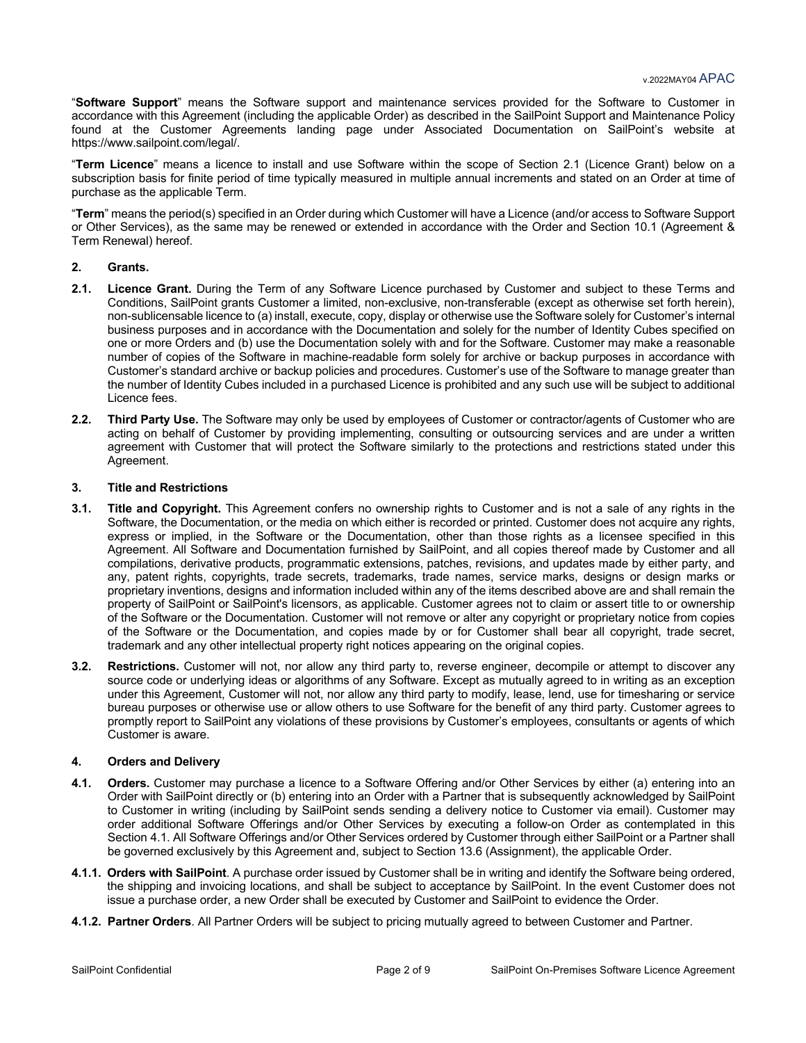"**Software Support**" means the Software support and maintenance services provided for the Software to Customer in accordance with this Agreement (including the applicable Order) as described in the SailPoint Support and Maintenance Policy found at the Customer Agreements landing page under Associated Documentation on SailPoint's website at https://www.sailpoint.com/legal/.

"**Term Licence**" means a licence to install and use Software within the scope of Section 2.1 (Licence Grant) below on a subscription basis for finite period of time typically measured in multiple annual increments and stated on an Order at time of purchase as the applicable Term.

"**Term**" means the period(s) specified in an Order during which Customer will have a Licence (and/or access to Software Support or Other Services), as the same may be renewed or extended in accordance with the Order and Section 10.1 (Agreement & Term Renewal) hereof.

#### **2. Grants.**

- **2.1. Licence Grant.** During the Term of any Software Licence purchased by Customer and subject to these Terms and Conditions, SailPoint grants Customer a limited, non-exclusive, non-transferable (except as otherwise set forth herein), non-sublicensable licence to (a) install, execute, copy, display or otherwise use the Software solely for Customer's internal business purposes and in accordance with the Documentation and solely for the number of Identity Cubes specified on one or more Orders and (b) use the Documentation solely with and for the Software. Customer may make a reasonable number of copies of the Software in machine-readable form solely for archive or backup purposes in accordance with Customer's standard archive or backup policies and procedures. Customer's use of the Software to manage greater than the number of Identity Cubes included in a purchased Licence is prohibited and any such use will be subject to additional Licence fees.
- **2.2. Third Party Use.** The Software may only be used by employees of Customer or contractor/agents of Customer who are acting on behalf of Customer by providing implementing, consulting or outsourcing services and are under a written agreement with Customer that will protect the Software similarly to the protections and restrictions stated under this Agreement.

#### **3. Title and Restrictions**

- **3.1. Title and Copyright.** This Agreement confers no ownership rights to Customer and is not a sale of any rights in the Software, the Documentation, or the media on which either is recorded or printed. Customer does not acquire any rights, express or implied, in the Software or the Documentation, other than those rights as a licensee specified in this Agreement. All Software and Documentation furnished by SailPoint, and all copies thereof made by Customer and all compilations, derivative products, programmatic extensions, patches, revisions, and updates made by either party, and any, patent rights, copyrights, trade secrets, trademarks, trade names, service marks, designs or design marks or proprietary inventions, designs and information included within any of the items described above are and shall remain the property of SailPoint or SailPoint's licensors, as applicable. Customer agrees not to claim or assert title to or ownership of the Software or the Documentation. Customer will not remove or alter any copyright or proprietary notice from copies of the Software or the Documentation, and copies made by or for Customer shall bear all copyright, trade secret, trademark and any other intellectual property right notices appearing on the original copies.
- **3.2. Restrictions.** Customer will not, nor allow any third party to, reverse engineer, decompile or attempt to discover any source code or underlying ideas or algorithms of any Software. Except as mutually agreed to in writing as an exception under this Agreement, Customer will not, nor allow any third party to modify, lease, lend, use for timesharing or service bureau purposes or otherwise use or allow others to use Software for the benefit of any third party. Customer agrees to promptly report to SailPoint any violations of these provisions by Customer's employees, consultants or agents of which Customer is aware.

#### **4. Orders and Delivery**

- **4.1. Orders.** Customer may purchase a licence to a Software Offering and/or Other Services by either (a) entering into an Order with SailPoint directly or (b) entering into an Order with a Partner that is subsequently acknowledged by SailPoint to Customer in writing (including by SailPoint sends sending a delivery notice to Customer via email). Customer may order additional Software Offerings and/or Other Services by executing a follow-on Order as contemplated in this Section 4.1. All Software Offerings and/or Other Services ordered by Customer through either SailPoint or a Partner shall be governed exclusively by this Agreement and, subject to Section 13.6 (Assignment), the applicable Order.
- **4.1.1. Orders with SailPoint**. A purchase order issued by Customer shall be in writing and identify the Software being ordered, the shipping and invoicing locations, and shall be subject to acceptance by SailPoint. In the event Customer does not issue a purchase order, a new Order shall be executed by Customer and SailPoint to evidence the Order.
- **4.1.2. Partner Orders**. All Partner Orders will be subject to pricing mutually agreed to between Customer and Partner.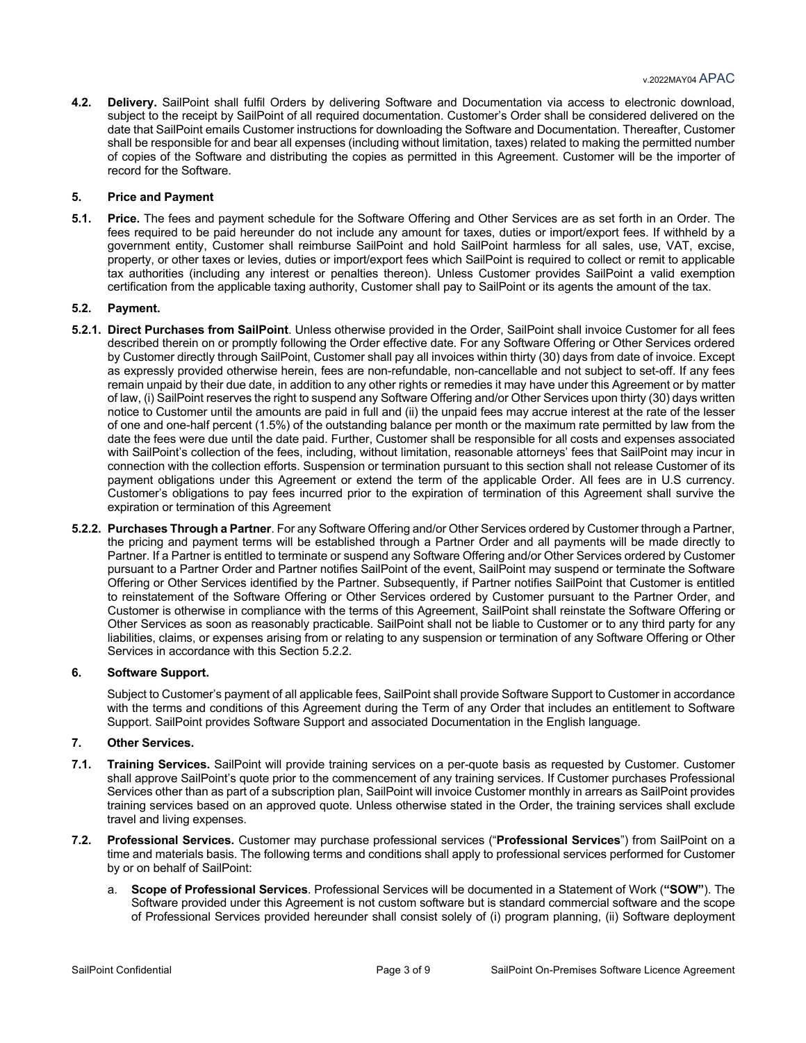**4.2. Delivery.** SailPoint shall fulfil Orders by delivering Software and Documentation via access to electronic download, subject to the receipt by SailPoint of all required documentation. Customer's Order shall be considered delivered on the date that SailPoint emails Customer instructions for downloading the Software and Documentation. Thereafter, Customer shall be responsible for and bear all expenses (including without limitation, taxes) related to making the permitted number of copies of the Software and distributing the copies as permitted in this Agreement. Customer will be the importer of record for the Software.

#### **5. Price and Payment**

**5.1. Price.** The fees and payment schedule for the Software Offering and Other Services are as set forth in an Order. The fees required to be paid hereunder do not include any amount for taxes, duties or import/export fees. If withheld by a government entity, Customer shall reimburse SailPoint and hold SailPoint harmless for all sales, use, VAT, excise, property, or other taxes or levies, duties or import/export fees which SailPoint is required to collect or remit to applicable tax authorities (including any interest or penalties thereon). Unless Customer provides SailPoint a valid exemption certification from the applicable taxing authority, Customer shall pay to SailPoint or its agents the amount of the tax.

#### **5.2. Payment.**

- **5.2.1. Direct Purchases from SailPoint**. Unless otherwise provided in the Order, SailPoint shall invoice Customer for all fees described therein on or promptly following the Order effective date. For any Software Offering or Other Services ordered by Customer directly through SailPoint, Customer shall pay all invoices within thirty (30) days from date of invoice. Except as expressly provided otherwise herein, fees are non-refundable, non-cancellable and not subject to set-off. If any fees remain unpaid by their due date, in addition to any other rights or remedies it may have under this Agreement or by matter of law, (i) SailPoint reserves the right to suspend any Software Offering and/or Other Services upon thirty (30) days written notice to Customer until the amounts are paid in full and (ii) the unpaid fees may accrue interest at the rate of the lesser of one and one-half percent (1.5%) of the outstanding balance per month or the maximum rate permitted by law from the date the fees were due until the date paid. Further, Customer shall be responsible for all costs and expenses associated with SailPoint's collection of the fees, including, without limitation, reasonable attorneys' fees that SailPoint may incur in connection with the collection efforts. Suspension or termination pursuant to this section shall not release Customer of its payment obligations under this Agreement or extend the term of the applicable Order. All fees are in U.S currency. Customer's obligations to pay fees incurred prior to the expiration of termination of this Agreement shall survive the expiration or termination of this Agreement
- **5.2.2. Purchases Through a Partner**. For any Software Offering and/or Other Services ordered by Customer through a Partner, the pricing and payment terms will be established through a Partner Order and all payments will be made directly to Partner. If a Partner is entitled to terminate or suspend any Software Offering and/or Other Services ordered by Customer pursuant to a Partner Order and Partner notifies SailPoint of the event, SailPoint may suspend or terminate the Software Offering or Other Services identified by the Partner. Subsequently, if Partner notifies SailPoint that Customer is entitled to reinstatement of the Software Offering or Other Services ordered by Customer pursuant to the Partner Order, and Customer is otherwise in compliance with the terms of this Agreement, SailPoint shall reinstate the Software Offering or Other Services as soon as reasonably practicable. SailPoint shall not be liable to Customer or to any third party for any liabilities, claims, or expenses arising from or relating to any suspension or termination of any Software Offering or Other Services in accordance with this Section 5.2.2.

# **6. Software Support.**

Subject to Customer's payment of all applicable fees, SailPoint shall provide Software Support to Customer in accordance with the terms and conditions of this Agreement during the Term of any Order that includes an entitlement to Software Support. SailPoint provides Software Support and associated Documentation in the English language.

#### **7. Other Services.**

- **7.1. Training Services.** SailPoint will provide training services on a per-quote basis as requested by Customer. Customer shall approve SailPoint's quote prior to the commencement of any training services. If Customer purchases Professional Services other than as part of a subscription plan, SailPoint will invoice Customer monthly in arrears as SailPoint provides training services based on an approved quote. Unless otherwise stated in the Order, the training services shall exclude travel and living expenses.
- **7.2. Professional Services.** Customer may purchase professional services ("**Professional Services**") from SailPoint on a time and materials basis. The following terms and conditions shall apply to professional services performed for Customer by or on behalf of SailPoint:
	- a. **Scope of Professional Services**. Professional Services will be documented in a Statement of Work (**"SOW"**). The Software provided under this Agreement is not custom software but is standard commercial software and the scope of Professional Services provided hereunder shall consist solely of (i) program planning, (ii) Software deployment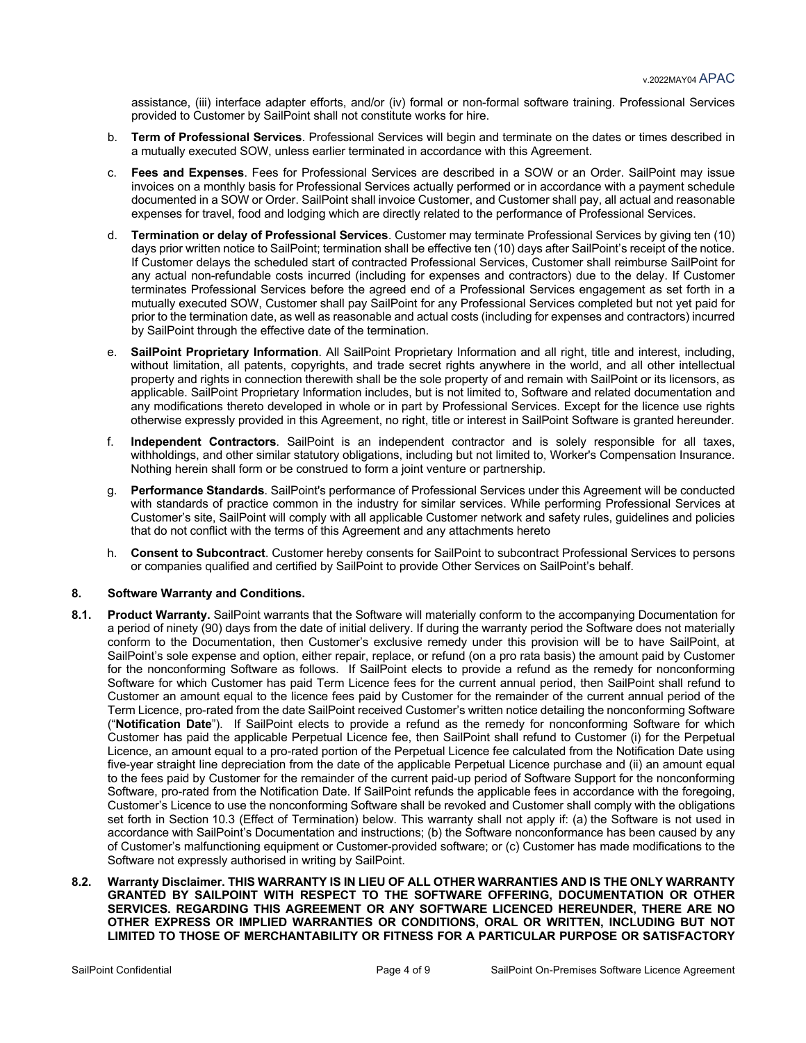assistance, (iii) interface adapter efforts, and/or (iv) formal or non-formal software training. Professional Services provided to Customer by SailPoint shall not constitute works for hire.

- b. **Term of Professional Services**. Professional Services will begin and terminate on the dates or times described in a mutually executed SOW, unless earlier terminated in accordance with this Agreement.
- c. **Fees and Expenses**. Fees for Professional Services are described in a SOW or an Order. SailPoint may issue invoices on a monthly basis for Professional Services actually performed or in accordance with a payment schedule documented in a SOW or Order. SailPoint shall invoice Customer, and Customer shall pay, all actual and reasonable expenses for travel, food and lodging which are directly related to the performance of Professional Services.
- d. **Termination or delay of Professional Services**. Customer may terminate Professional Services by giving ten (10) days prior written notice to SailPoint; termination shall be effective ten (10) days after SailPoint's receipt of the notice. If Customer delays the scheduled start of contracted Professional Services, Customer shall reimburse SailPoint for any actual non-refundable costs incurred (including for expenses and contractors) due to the delay. If Customer terminates Professional Services before the agreed end of a Professional Services engagement as set forth in a mutually executed SOW, Customer shall pay SailPoint for any Professional Services completed but not yet paid for prior to the termination date, as well as reasonable and actual costs (including for expenses and contractors) incurred by SailPoint through the effective date of the termination.
- e. **SailPoint Proprietary Information**. All SailPoint Proprietary Information and all right, title and interest, including, without limitation, all patents, copyrights, and trade secret rights anywhere in the world, and all other intellectual property and rights in connection therewith shall be the sole property of and remain with SailPoint or its licensors, as applicable. SailPoint Proprietary Information includes, but is not limited to, Software and related documentation and any modifications thereto developed in whole or in part by Professional Services. Except for the licence use rights otherwise expressly provided in this Agreement, no right, title or interest in SailPoint Software is granted hereunder.
- f. **Independent Contractors**. SailPoint is an independent contractor and is solely responsible for all taxes, withholdings, and other similar statutory obligations, including but not limited to, Worker's Compensation Insurance. Nothing herein shall form or be construed to form a joint venture or partnership.
- g. **Performance Standards**. SailPoint's performance of Professional Services under this Agreement will be conducted with standards of practice common in the industry for similar services. While performing Professional Services at Customer's site, SailPoint will comply with all applicable Customer network and safety rules, guidelines and policies that do not conflict with the terms of this Agreement and any attachments hereto
- h. **Consent to Subcontract**. Customer hereby consents for SailPoint to subcontract Professional Services to persons or companies qualified and certified by SailPoint to provide Other Services on SailPoint's behalf.

#### **8. Software Warranty and Conditions.**

- **8.1. Product Warranty.** SailPoint warrants that the Software will materially conform to the accompanying Documentation for a period of ninety (90) days from the date of initial delivery. If during the warranty period the Software does not materially conform to the Documentation, then Customer's exclusive remedy under this provision will be to have SailPoint, at SailPoint's sole expense and option, either repair, replace, or refund (on a pro rata basis) the amount paid by Customer for the nonconforming Software as follows. If SailPoint elects to provide a refund as the remedy for nonconforming Software for which Customer has paid Term Licence fees for the current annual period, then SailPoint shall refund to Customer an amount equal to the licence fees paid by Customer for the remainder of the current annual period of the Term Licence, pro-rated from the date SailPoint received Customer's written notice detailing the nonconforming Software ("**Notification Date**"). If SailPoint elects to provide a refund as the remedy for nonconforming Software for which Customer has paid the applicable Perpetual Licence fee, then SailPoint shall refund to Customer (i) for the Perpetual Licence, an amount equal to a pro-rated portion of the Perpetual Licence fee calculated from the Notification Date using five-year straight line depreciation from the date of the applicable Perpetual Licence purchase and (ii) an amount equal to the fees paid by Customer for the remainder of the current paid-up period of Software Support for the nonconforming Software, pro-rated from the Notification Date. If SailPoint refunds the applicable fees in accordance with the foregoing, Customer's Licence to use the nonconforming Software shall be revoked and Customer shall comply with the obligations set forth in Section 10.3 (Effect of Termination) below. This warranty shall not apply if: (a) the Software is not used in accordance with SailPoint's Documentation and instructions; (b) the Software nonconformance has been caused by any of Customer's malfunctioning equipment or Customer-provided software; or (c) Customer has made modifications to the Software not expressly authorised in writing by SailPoint.
- **8.2. Warranty Disclaimer. THIS WARRANTY IS IN LIEU OF ALL OTHER WARRANTIES AND IS THE ONLY WARRANTY GRANTED BY SAILPOINT WITH RESPECT TO THE SOFTWARE OFFERING, DOCUMENTATION OR OTHER SERVICES. REGARDING THIS AGREEMENT OR ANY SOFTWARE LICENCED HEREUNDER, THERE ARE NO OTHER EXPRESS OR IMPLIED WARRANTIES OR CONDITIONS, ORAL OR WRITTEN, INCLUDING BUT NOT LIMITED TO THOSE OF MERCHANTABILITY OR FITNESS FOR A PARTICULAR PURPOSE OR SATISFACTORY**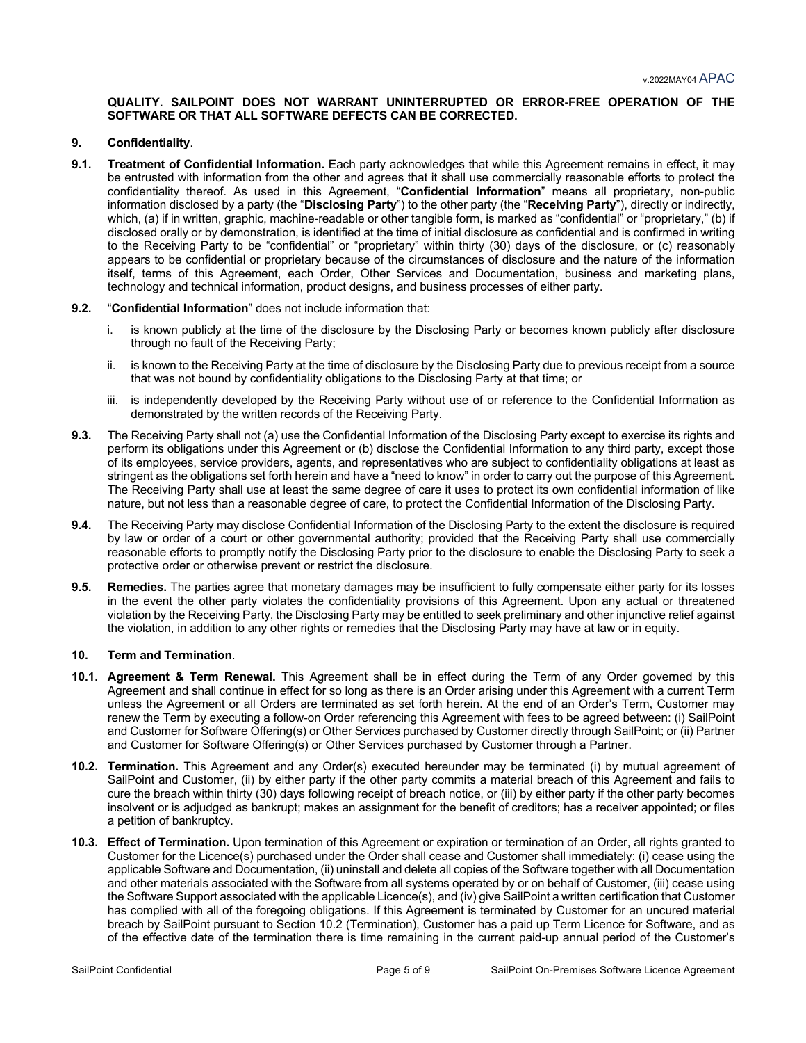#### **QUALITY. SAILPOINT DOES NOT WARRANT UNINTERRUPTED OR ERROR-FREE OPERATION OF THE SOFTWARE OR THAT ALL SOFTWARE DEFECTS CAN BE CORRECTED.**

#### **9. Confidentiality**.

**9.1. Treatment of Confidential Information.** Each party acknowledges that while this Agreement remains in effect, it may be entrusted with information from the other and agrees that it shall use commercially reasonable efforts to protect the confidentiality thereof. As used in this Agreement, "**Confidential Information**" means all proprietary, non-public information disclosed by a party (the "**Disclosing Party**") to the other party (the "**Receiving Party**"), directly or indirectly, which, (a) if in written, graphic, machine-readable or other tangible form, is marked as "confidential" or "proprietary," (b) if disclosed orally or by demonstration, is identified at the time of initial disclosure as confidential and is confirmed in writing to the Receiving Party to be "confidential" or "proprietary" within thirty (30) days of the disclosure, or (c) reasonably appears to be confidential or proprietary because of the circumstances of disclosure and the nature of the information itself, terms of this Agreement, each Order, Other Services and Documentation, business and marketing plans, technology and technical information, product designs, and business processes of either party.

#### **9.2.** "**Confidential Information**" does not include information that:

- i. is known publicly at the time of the disclosure by the Disclosing Party or becomes known publicly after disclosure through no fault of the Receiving Party;
- ii. is known to the Receiving Party at the time of disclosure by the Disclosing Party due to previous receipt from a source that was not bound by confidentiality obligations to the Disclosing Party at that time; or
- iii. is independently developed by the Receiving Party without use of or reference to the Confidential Information as demonstrated by the written records of the Receiving Party.
- **9.3.** The Receiving Party shall not (a) use the Confidential Information of the Disclosing Party except to exercise its rights and perform its obligations under this Agreement or (b) disclose the Confidential Information to any third party, except those of its employees, service providers, agents, and representatives who are subject to confidentiality obligations at least as stringent as the obligations set forth herein and have a "need to know" in order to carry out the purpose of this Agreement. The Receiving Party shall use at least the same degree of care it uses to protect its own confidential information of like nature, but not less than a reasonable degree of care, to protect the Confidential Information of the Disclosing Party.
- **9.4.** The Receiving Party may disclose Confidential Information of the Disclosing Party to the extent the disclosure is required by law or order of a court or other governmental authority; provided that the Receiving Party shall use commercially reasonable efforts to promptly notify the Disclosing Party prior to the disclosure to enable the Disclosing Party to seek a protective order or otherwise prevent or restrict the disclosure.
- **9.5. Remedies.** The parties agree that monetary damages may be insufficient to fully compensate either party for its losses in the event the other party violates the confidentiality provisions of this Agreement. Upon any actual or threatened violation by the Receiving Party, the Disclosing Party may be entitled to seek preliminary and other injunctive relief against the violation, in addition to any other rights or remedies that the Disclosing Party may have at law or in equity.

#### **10. Term and Termination**.

- **10.1. Agreement & Term Renewal.** This Agreement shall be in effect during the Term of any Order governed by this Agreement and shall continue in effect for so long as there is an Order arising under this Agreement with a current Term unless the Agreement or all Orders are terminated as set forth herein. At the end of an Order's Term, Customer may renew the Term by executing a follow-on Order referencing this Agreement with fees to be agreed between: (i) SailPoint and Customer for Software Offering(s) or Other Services purchased by Customer directly through SailPoint; or (ii) Partner and Customer for Software Offering(s) or Other Services purchased by Customer through a Partner.
- **10.2. Termination.** This Agreement and any Order(s) executed hereunder may be terminated (i) by mutual agreement of SailPoint and Customer, (ii) by either party if the other party commits a material breach of this Agreement and fails to cure the breach within thirty (30) days following receipt of breach notice, or (iii) by either party if the other party becomes insolvent or is adjudged as bankrupt; makes an assignment for the benefit of creditors; has a receiver appointed; or files a petition of bankruptcy.
- **10.3. Effect of Termination.** Upon termination of this Agreement or expiration or termination of an Order, all rights granted to Customer for the Licence(s) purchased under the Order shall cease and Customer shall immediately: (i) cease using the applicable Software and Documentation, (ii) uninstall and delete all copies of the Software together with all Documentation and other materials associated with the Software from all systems operated by or on behalf of Customer, (iii) cease using the Software Support associated with the applicable Licence(s), and (iv) give SailPoint a written certification that Customer has complied with all of the foregoing obligations. If this Agreement is terminated by Customer for an uncured material breach by SailPoint pursuant to Section 10.2 (Termination), Customer has a paid up Term Licence for Software, and as of the effective date of the termination there is time remaining in the current paid-up annual period of the Customer's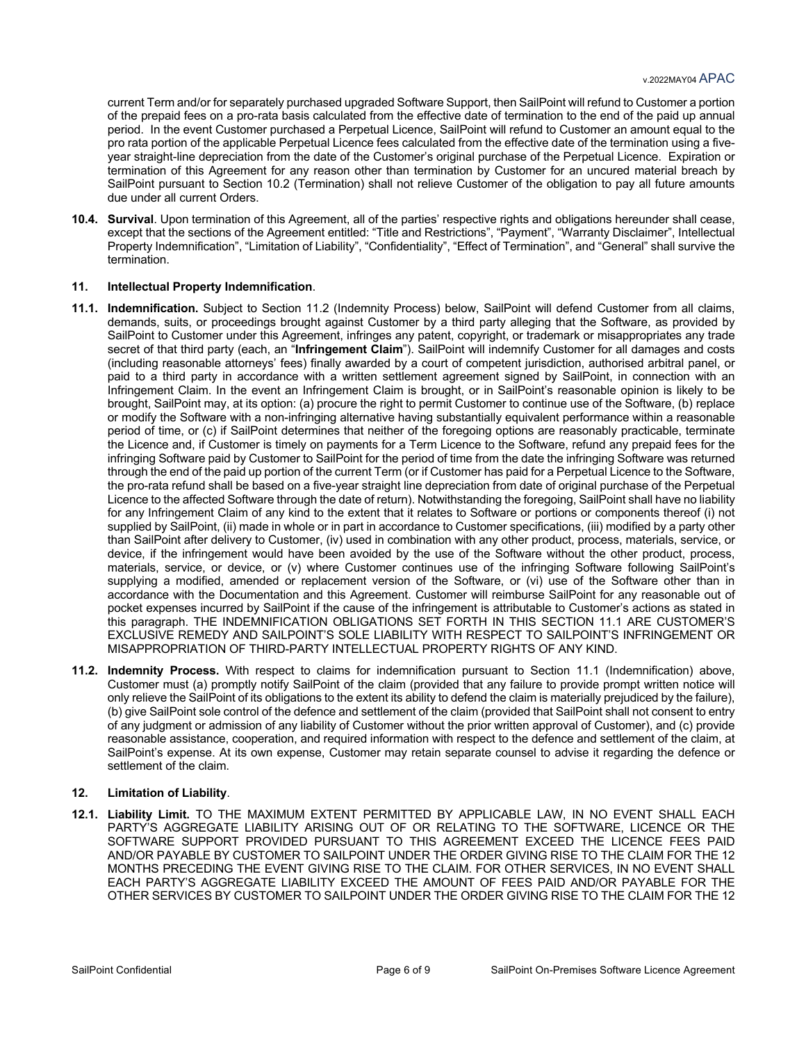current Term and/or for separately purchased upgraded Software Support, then SailPoint will refund to Customer a portion of the prepaid fees on a pro-rata basis calculated from the effective date of termination to the end of the paid up annual period. In the event Customer purchased a Perpetual Licence, SailPoint will refund to Customer an amount equal to the pro rata portion of the applicable Perpetual Licence fees calculated from the effective date of the termination using a fiveyear straight-line depreciation from the date of the Customer's original purchase of the Perpetual Licence. Expiration or termination of this Agreement for any reason other than termination by Customer for an uncured material breach by SailPoint pursuant to Section 10.2 (Termination) shall not relieve Customer of the obligation to pay all future amounts due under all current Orders.

**10.4. Survival**. Upon termination of this Agreement, all of the parties' respective rights and obligations hereunder shall cease, except that the sections of the Agreement entitled: "Title and Restrictions", "Payment", "Warranty Disclaimer", Intellectual Property Indemnification", "Limitation of Liability", "Confidentiality", "Effect of Termination", and "General" shall survive the termination.

# **11. Intellectual Property Indemnification**.

- **11.1. Indemnification.** Subject to Section 11.2 (Indemnity Process) below, SailPoint will defend Customer from all claims, demands, suits, or proceedings brought against Customer by a third party alleging that the Software, as provided by SailPoint to Customer under this Agreement, infringes any patent, copyright, or trademark or misappropriates any trade secret of that third party (each, an "**Infringement Claim**"). SailPoint will indemnify Customer for all damages and costs (including reasonable attorneys' fees) finally awarded by a court of competent jurisdiction, authorised arbitral panel, or paid to a third party in accordance with a written settlement agreement signed by SailPoint, in connection with an Infringement Claim. In the event an Infringement Claim is brought, or in SailPoint's reasonable opinion is likely to be brought, SailPoint may, at its option: (a) procure the right to permit Customer to continue use of the Software, (b) replace or modify the Software with a non-infringing alternative having substantially equivalent performance within a reasonable period of time, or (c) if SailPoint determines that neither of the foregoing options are reasonably practicable, terminate the Licence and, if Customer is timely on payments for a Term Licence to the Software, refund any prepaid fees for the infringing Software paid by Customer to SailPoint for the period of time from the date the infringing Software was returned through the end of the paid up portion of the current Term (or if Customer has paid for a Perpetual Licence to the Software, the pro-rata refund shall be based on a five-year straight line depreciation from date of original purchase of the Perpetual Licence to the affected Software through the date of return). Notwithstanding the foregoing, SailPoint shall have no liability for any Infringement Claim of any kind to the extent that it relates to Software or portions or components thereof (i) not supplied by SailPoint, (ii) made in whole or in part in accordance to Customer specifications, (iii) modified by a party other than SailPoint after delivery to Customer, (iv) used in combination with any other product, process, materials, service, or device, if the infringement would have been avoided by the use of the Software without the other product, process, materials, service, or device, or (v) where Customer continues use of the infringing Software following SailPoint's supplying a modified, amended or replacement version of the Software, or (vi) use of the Software other than in accordance with the Documentation and this Agreement. Customer will reimburse SailPoint for any reasonable out of pocket expenses incurred by SailPoint if the cause of the infringement is attributable to Customer's actions as stated in this paragraph. THE INDEMNIFICATION OBLIGATIONS SET FORTH IN THIS SECTION 11.1 ARE CUSTOMER'S EXCLUSIVE REMEDY AND SAILPOINT'S SOLE LIABILITY WITH RESPECT TO SAILPOINT'S INFRINGEMENT OR MISAPPROPRIATION OF THIRD-PARTY INTELLECTUAL PROPERTY RIGHTS OF ANY KIND.
- **11.2. Indemnity Process.** With respect to claims for indemnification pursuant to Section 11.1 (Indemnification) above, Customer must (a) promptly notify SailPoint of the claim (provided that any failure to provide prompt written notice will only relieve the SailPoint of its obligations to the extent its ability to defend the claim is materially prejudiced by the failure), (b) give SailPoint sole control of the defence and settlement of the claim (provided that SailPoint shall not consent to entry of any judgment or admission of any liability of Customer without the prior written approval of Customer), and (c) provide reasonable assistance, cooperation, and required information with respect to the defence and settlement of the claim, at SailPoint's expense. At its own expense, Customer may retain separate counsel to advise it regarding the defence or settlement of the claim.

#### **12. Limitation of Liability**.

**12.1. Liability Limit.** TO THE MAXIMUM EXTENT PERMITTED BY APPLICABLE LAW, IN NO EVENT SHALL EACH PARTY'S AGGREGATE LIABILITY ARISING OUT OF OR RELATING TO THE SOFTWARE, LICENCE OR THE SOFTWARE SUPPORT PROVIDED PURSUANT TO THIS AGREEMENT EXCEED THE LICENCE FEES PAID AND/OR PAYABLE BY CUSTOMER TO SAILPOINT UNDER THE ORDER GIVING RISE TO THE CLAIM FOR THE 12 MONTHS PRECEDING THE EVENT GIVING RISE TO THE CLAIM. FOR OTHER SERVICES, IN NO EVENT SHALL EACH PARTY'S AGGREGATE LIABILITY EXCEED THE AMOUNT OF FEES PAID AND/OR PAYABLE FOR THE OTHER SERVICES BY CUSTOMER TO SAILPOINT UNDER THE ORDER GIVING RISE TO THE CLAIM FOR THE 12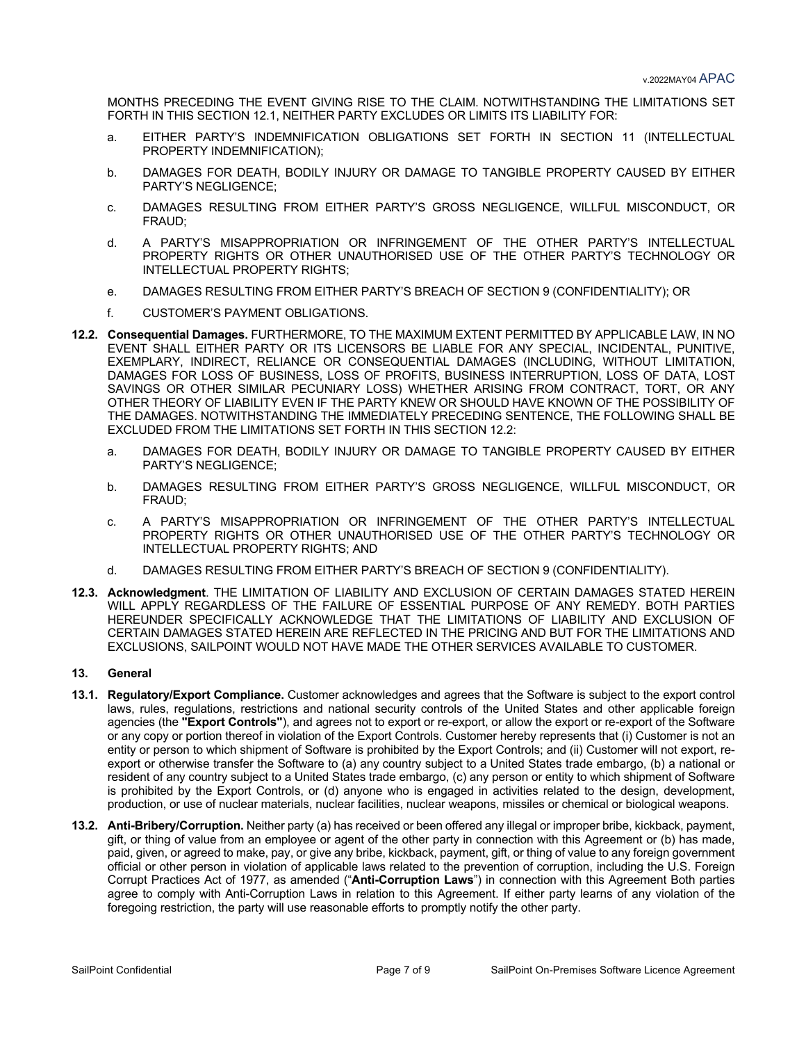MONTHS PRECEDING THE EVENT GIVING RISE TO THE CLAIM. NOTWITHSTANDING THE LIMITATIONS SET FORTH IN THIS SECTION 12.1, NEITHER PARTY EXCLUDES OR LIMITS ITS LIABILITY FOR:

- a. EITHER PARTY'S INDEMNIFICATION OBLIGATIONS SET FORTH IN SECTION 11 (INTELLECTUAL PROPERTY INDEMNIFICATION);
- b. DAMAGES FOR DEATH, BODILY INJURY OR DAMAGE TO TANGIBLE PROPERTY CAUSED BY EITHER PARTY'S NEGLIGENCE;
- c. DAMAGES RESULTING FROM EITHER PARTY'S GROSS NEGLIGENCE, WILLFUL MISCONDUCT, OR FRAUD;
- d. A PARTY'S MISAPPROPRIATION OR INFRINGEMENT OF THE OTHER PARTY'S INTELLECTUAL PROPERTY RIGHTS OR OTHER UNAUTHORISED USE OF THE OTHER PARTY'S TECHNOLOGY OR INTELLECTUAL PROPERTY RIGHTS;
- e. DAMAGES RESULTING FROM EITHER PARTY'S BREACH OF SECTION 9 (CONFIDENTIALITY); OR
- f. CUSTOMER'S PAYMENT OBLIGATIONS.
- **12.2. Consequential Damages.** FURTHERMORE, TO THE MAXIMUM EXTENT PERMITTED BY APPLICABLE LAW, IN NO EVENT SHALL EITHER PARTY OR ITS LICENSORS BE LIABLE FOR ANY SPECIAL, INCIDENTAL, PUNITIVE, EXEMPLARY, INDIRECT, RELIANCE OR CONSEQUENTIAL DAMAGES (INCLUDING, WITHOUT LIMITATION, DAMAGES FOR LOSS OF BUSINESS, LOSS OF PROFITS, BUSINESS INTERRUPTION, LOSS OF DATA, LOST SAVINGS OR OTHER SIMILAR PECUNIARY LOSS) WHETHER ARISING FROM CONTRACT, TORT, OR ANY OTHER THEORY OF LIABILITY EVEN IF THE PARTY KNEW OR SHOULD HAVE KNOWN OF THE POSSIBILITY OF THE DAMAGES. NOTWITHSTANDING THE IMMEDIATELY PRECEDING SENTENCE, THE FOLLOWING SHALL BE EXCLUDED FROM THE LIMITATIONS SET FORTH IN THIS SECTION 12.2:
	- a. DAMAGES FOR DEATH, BODILY INJURY OR DAMAGE TO TANGIBLE PROPERTY CAUSED BY EITHER PARTY'S NEGLIGENCE;
	- b. DAMAGES RESULTING FROM EITHER PARTY'S GROSS NEGLIGENCE, WILLFUL MISCONDUCT, OR FRAUD;
	- c. A PARTY'S MISAPPROPRIATION OR INFRINGEMENT OF THE OTHER PARTY'S INTELLECTUAL PROPERTY RIGHTS OR OTHER UNAUTHORISED USE OF THE OTHER PARTY'S TECHNOLOGY OR INTELLECTUAL PROPERTY RIGHTS; AND
	- d. DAMAGES RESULTING FROM EITHER PARTY'S BREACH OF SECTION 9 (CONFIDENTIALITY).
- **12.3. Acknowledgment**. THE LIMITATION OF LIABILITY AND EXCLUSION OF CERTAIN DAMAGES STATED HEREIN WILL APPLY REGARDLESS OF THE FAILURE OF ESSENTIAL PURPOSE OF ANY REMEDY. BOTH PARTIES HEREUNDER SPECIFICALLY ACKNOWLEDGE THAT THE LIMITATIONS OF LIABILITY AND EXCLUSION OF CERTAIN DAMAGES STATED HEREIN ARE REFLECTED IN THE PRICING AND BUT FOR THE LIMITATIONS AND EXCLUSIONS, SAILPOINT WOULD NOT HAVE MADE THE OTHER SERVICES AVAILABLE TO CUSTOMER.

# **13. General**

- **13.1. Regulatory/Export Compliance.** Customer acknowledges and agrees that the Software is subject to the export control laws, rules, regulations, restrictions and national security controls of the United States and other applicable foreign agencies (the **"Export Controls"**), and agrees not to export or re-export, or allow the export or re-export of the Software or any copy or portion thereof in violation of the Export Controls. Customer hereby represents that (i) Customer is not an entity or person to which shipment of Software is prohibited by the Export Controls; and (ii) Customer will not export, reexport or otherwise transfer the Software to (a) any country subject to a United States trade embargo, (b) a national or resident of any country subject to a United States trade embargo, (c) any person or entity to which shipment of Software is prohibited by the Export Controls, or (d) anyone who is engaged in activities related to the design, development, production, or use of nuclear materials, nuclear facilities, nuclear weapons, missiles or chemical or biological weapons.
- **13.2. Anti-Bribery/Corruption.** Neither party (a) has received or been offered any illegal or improper bribe, kickback, payment, gift, or thing of value from an employee or agent of the other party in connection with this Agreement or (b) has made, paid, given, or agreed to make, pay, or give any bribe, kickback, payment, gift, or thing of value to any foreign government official or other person in violation of applicable laws related to the prevention of corruption, including the U.S. Foreign Corrupt Practices Act of 1977, as amended ("**Anti-Corruption Laws**") in connection with this Agreement Both parties agree to comply with Anti-Corruption Laws in relation to this Agreement. If either party learns of any violation of the foregoing restriction, the party will use reasonable efforts to promptly notify the other party.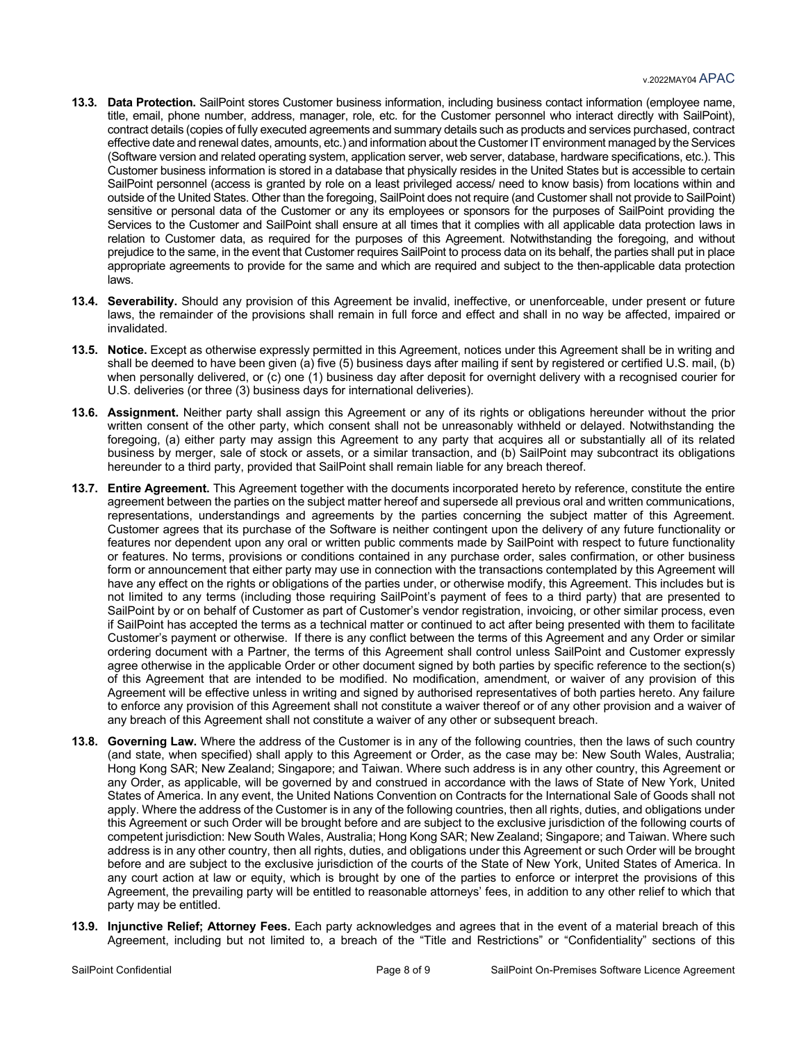- **13.3. Data Protection.** SailPoint stores Customer business information, including business contact information (employee name, title, email, phone number, address, manager, role, etc. for the Customer personnel who interact directly with SailPoint), contract details (copies of fully executed agreements and summary details such as products and services purchased, contract effective date and renewal dates, amounts, etc.) and information about the Customer IT environment managed by the Services (Software version and related operating system, application server, web server, database, hardware specifications, etc.). This Customer business information is stored in a database that physically resides in the United States but is accessible to certain SailPoint personnel (access is granted by role on a least privileged access/ need to know basis) from locations within and outside of the United States. Other than the foregoing, SailPoint does not require (and Customer shall not provide to SailPoint) sensitive or personal data of the Customer or any its employees or sponsors for the purposes of SailPoint providing the Services to the Customer and SailPoint shall ensure at all times that it complies with all applicable data protection laws in relation to Customer data, as required for the purposes of this Agreement. Notwithstanding the foregoing, and without prejudice to the same, in the event that Customer requires SailPoint to process data on its behalf, the parties shall put in place appropriate agreements to provide for the same and which are required and subject to the then-applicable data protection laws.
- **13.4. Severability.** Should any provision of this Agreement be invalid, ineffective, or unenforceable, under present or future laws, the remainder of the provisions shall remain in full force and effect and shall in no way be affected, impaired or invalidated.
- **13.5. Notice.** Except as otherwise expressly permitted in this Agreement, notices under this Agreement shall be in writing and shall be deemed to have been given (a) five (5) business days after mailing if sent by registered or certified U.S. mail, (b) when personally delivered, or (c) one (1) business day after deposit for overnight delivery with a recognised courier for U.S. deliveries (or three (3) business days for international deliveries).
- **13.6. Assignment.** Neither party shall assign this Agreement or any of its rights or obligations hereunder without the prior written consent of the other party, which consent shall not be unreasonably withheld or delayed. Notwithstanding the foregoing, (a) either party may assign this Agreement to any party that acquires all or substantially all of its related business by merger, sale of stock or assets, or a similar transaction, and (b) SailPoint may subcontract its obligations hereunder to a third party, provided that SailPoint shall remain liable for any breach thereof.
- **13.7. Entire Agreement.** This Agreement together with the documents incorporated hereto by reference, constitute the entire agreement between the parties on the subject matter hereof and supersede all previous oral and written communications, representations, understandings and agreements by the parties concerning the subject matter of this Agreement. Customer agrees that its purchase of the Software is neither contingent upon the delivery of any future functionality or features nor dependent upon any oral or written public comments made by SailPoint with respect to future functionality or features. No terms, provisions or conditions contained in any purchase order, sales confirmation, or other business form or announcement that either party may use in connection with the transactions contemplated by this Agreement will have any effect on the rights or obligations of the parties under, or otherwise modify, this Agreement. This includes but is not limited to any terms (including those requiring SailPoint's payment of fees to a third party) that are presented to SailPoint by or on behalf of Customer as part of Customer's vendor registration, invoicing, or other similar process, even if SailPoint has accepted the terms as a technical matter or continued to act after being presented with them to facilitate Customer's payment or otherwise. If there is any conflict between the terms of this Agreement and any Order or similar ordering document with a Partner, the terms of this Agreement shall control unless SailPoint and Customer expressly agree otherwise in the applicable Order or other document signed by both parties by specific reference to the section(s) of this Agreement that are intended to be modified. No modification, amendment, or waiver of any provision of this Agreement will be effective unless in writing and signed by authorised representatives of both parties hereto. Any failure to enforce any provision of this Agreement shall not constitute a waiver thereof or of any other provision and a waiver of any breach of this Agreement shall not constitute a waiver of any other or subsequent breach.
- **13.8. Governing Law.** Where the address of the Customer is in any of the following countries, then the laws of such country (and state, when specified) shall apply to this Agreement or Order, as the case may be: New South Wales, Australia; Hong Kong SAR; New Zealand; Singapore; and Taiwan. Where such address is in any other country, this Agreement or any Order, as applicable, will be governed by and construed in accordance with the laws of State of New York, United States of America. In any event, the United Nations Convention on Contracts for the International Sale of Goods shall not apply. Where the address of the Customer is in any of the following countries, then all rights, duties, and obligations under this Agreement or such Order will be brought before and are subject to the exclusive jurisdiction of the following courts of competent jurisdiction: New South Wales, Australia; Hong Kong SAR; New Zealand; Singapore; and Taiwan. Where such address is in any other country, then all rights, duties, and obligations under this Agreement or such Order will be brought before and are subject to the exclusive jurisdiction of the courts of the State of New York, United States of America. In any court action at law or equity, which is brought by one of the parties to enforce or interpret the provisions of this Agreement, the prevailing party will be entitled to reasonable attorneys' fees, in addition to any other relief to which that party may be entitled.
- **13.9. Injunctive Relief; Attorney Fees.** Each party acknowledges and agrees that in the event of a material breach of this Agreement, including but not limited to, a breach of the "Title and Restrictions" or "Confidentiality" sections of this